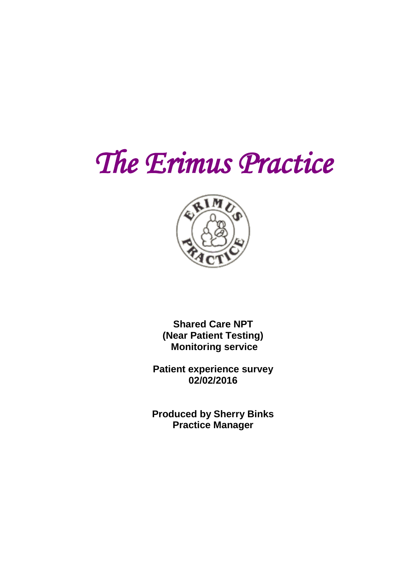# *The Erimus Practice*



**Shared Care NPT (Near Patient Testing) Monitoring service** 

**Patient experience survey 02/02/2016**

**Produced by Sherry Binks Practice Manager**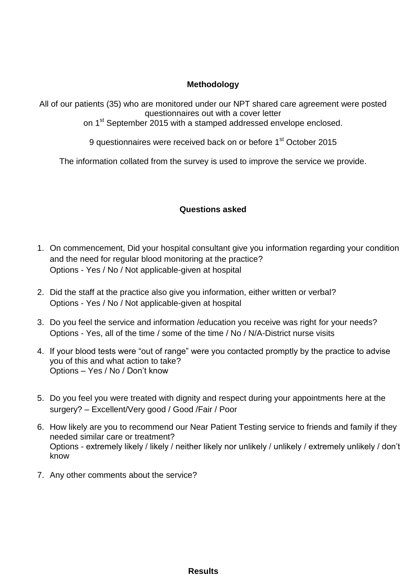#### **Methodology**

All of our patients (35) who are monitored under our NPT shared care agreement were posted questionnaires out with a cover letter

on 1<sup>st</sup> September 2015 with a stamped addressed envelope enclosed.

9 questionnaires were received back on or before 1<sup>st</sup> October 2015

The information collated from the survey is used to improve the service we provide.

#### **Questions asked**

- 1. On commencement, Did your hospital consultant give you information regarding your condition and the need for regular blood monitoring at the practice? Options - Yes / No / Not applicable-given at hospital
- 2. Did the staff at the practice also give you information, either written or verbal? Options - Yes / No / Not applicable-given at hospital
- 3. Do you feel the service and information /education you receive was right for your needs? Options - Yes, all of the time / some of the time / No / N/A-District nurse visits
- 4. If your blood tests were "out of range" were you contacted promptly by the practice to advise you of this and what action to take? Options – Yes / No / Don't know
- 5. Do you feel you were treated with dignity and respect during your appointments here at the surgery? – Excellent/Very good / Good /Fair / Poor
- 6. How likely are you to recommend our Near Patient Testing service to friends and family if they needed similar care or treatment? Options - extremely likely / likely / neither likely nor unlikely / unlikely / extremely unlikely / don't know
- 7. Any other comments about the service?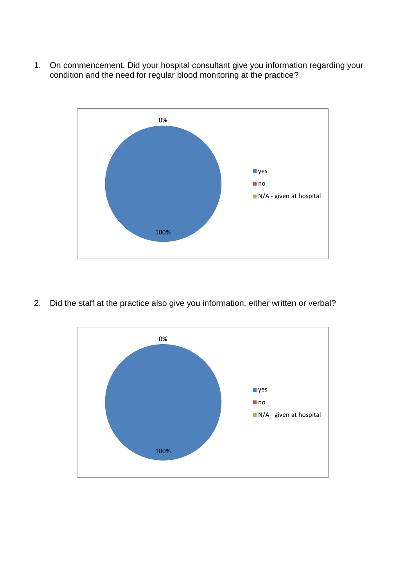1. On commencement, Did your hospital consultant give you information regarding your condition and the need for regular blood monitoring at the practice?



2. Did the staff at the practice also give you information, either written or verbal?

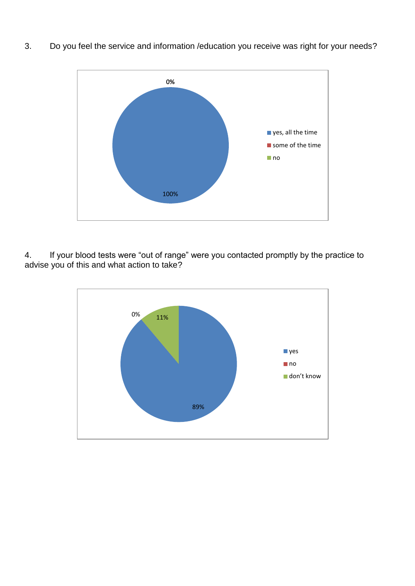



4. If your blood tests were "out of range" were you contacted promptly by the practice to advise you of this and what action to take?

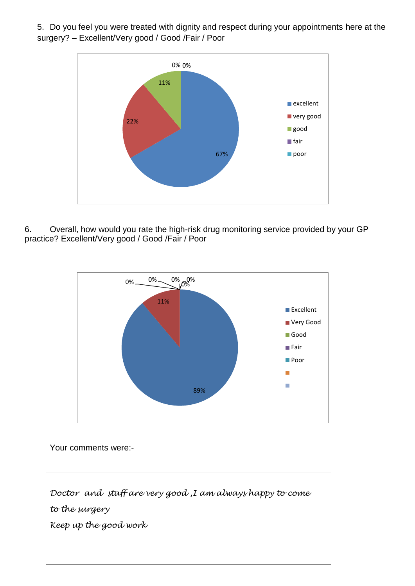5. Do you feel you were treated with dignity and respect during your appointments here at the surgery? – Excellent/Very good / Good /Fair / Poor



6. Overall, how would you rate the high-risk drug monitoring service provided by your GP practice? Excellent/Very good / Good /Fair / Poor



Your comments were:-